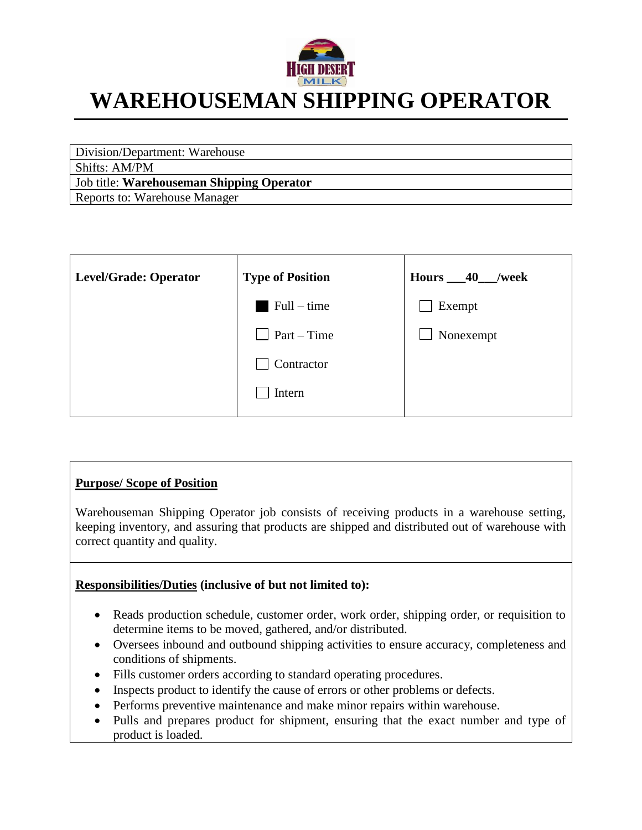

# **WAREHOUSEMAN SHIPPING OPERATOR**

Division/Department: Warehouse Shifts: AM/PM Job title: **Warehouseman Shipping Operator** Reports to: Warehouse Manager

| Level/Grade: Operator | <b>Type of Position</b> | Hours $\_\$ 40<br>/week |
|-----------------------|-------------------------|-------------------------|
|                       | $Full-time$             | Exempt                  |
|                       | $\Box$ Part – Time      | Nonexempt               |
|                       | Contractor              |                         |
|                       | Intern                  |                         |

#### **Purpose/ Scope of Position**

Warehouseman Shipping Operator job consists of receiving products in a warehouse setting, keeping inventory, and assuring that products are shipped and distributed out of warehouse with correct quantity and quality.

#### **Responsibilities/Duties (inclusive of but not limited to):**

- Reads production schedule, customer order, work order, shipping order, or requisition to determine items to be moved, gathered, and/or distributed.
- Oversees inbound and outbound shipping activities to ensure accuracy, completeness and conditions of shipments.
- Fills customer orders according to standard operating procedures.
- Inspects product to identify the cause of errors or other problems or defects.
- Performs preventive maintenance and make minor repairs within warehouse.
- Pulls and prepares product for shipment, ensuring that the exact number and type of product is loaded.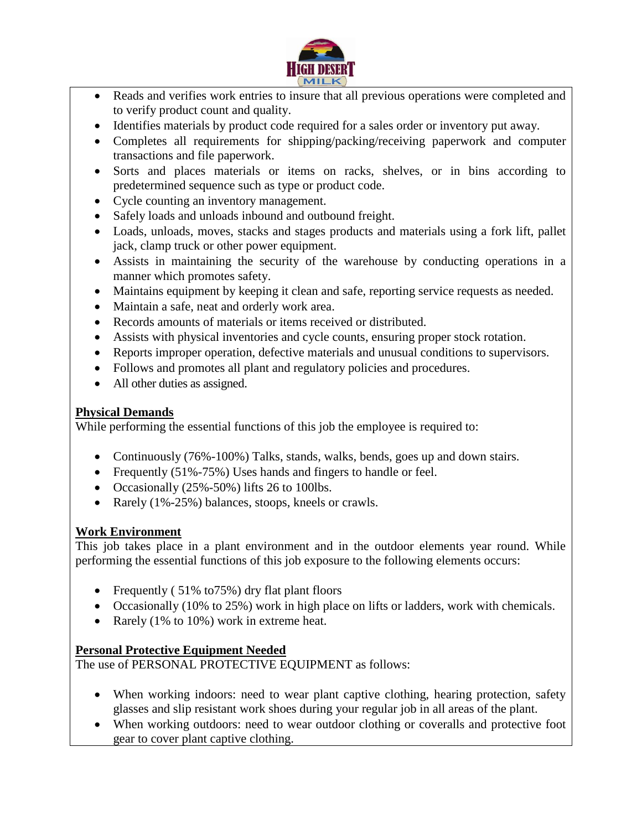

- Reads and verifies work entries to insure that all previous operations were completed and to verify product count and quality.
- Identifies materials by product code required for a sales order or inventory put away.
- Completes all requirements for shipping/packing/receiving paperwork and computer transactions and file paperwork.
- Sorts and places materials or items on racks, shelves, or in bins according to predetermined sequence such as type or product code.
- Cycle counting an inventory management.
- Safely loads and unloads inbound and outbound freight.
- Loads, unloads, moves, stacks and stages products and materials using a fork lift, pallet jack, clamp truck or other power equipment.
- Assists in maintaining the security of the warehouse by conducting operations in a manner which promotes safety.
- Maintains equipment by keeping it clean and safe, reporting service requests as needed.
- Maintain a safe, neat and orderly work area.
- Records amounts of materials or items received or distributed.
- Assists with physical inventories and cycle counts, ensuring proper stock rotation.
- Reports improper operation, defective materials and unusual conditions to supervisors.
- Follows and promotes all plant and regulatory policies and procedures.
- All other duties as assigned.

#### **Physical Demands**

While performing the essential functions of this job the employee is required to:

- Continuously (76%-100%) Talks, stands, walks, bends, goes up and down stairs.
- Frequently (51%-75%) Uses hands and fingers to handle or feel.
- Occasionally  $(25\% 50\%)$  lifts 26 to 100lbs.
- Rarely (1%-25%) balances, stoops, kneels or crawls.

#### **Work Environment**

This job takes place in a plant environment and in the outdoor elements year round. While performing the essential functions of this job exposure to the following elements occurs:

- Frequently (51% to 75%) dry flat plant floors
- Occasionally (10% to 25%) work in high place on lifts or ladders, work with chemicals.
- Rarely (1% to 10%) work in extreme heat.

#### **Personal Protective Equipment Needed**

The use of PERSONAL PROTECTIVE EQUIPMENT as follows:

- When working indoors: need to wear plant captive clothing, hearing protection, safety glasses and slip resistant work shoes during your regular job in all areas of the plant.
- When working outdoors: need to wear outdoor clothing or coveralls and protective foot gear to cover plant captive clothing.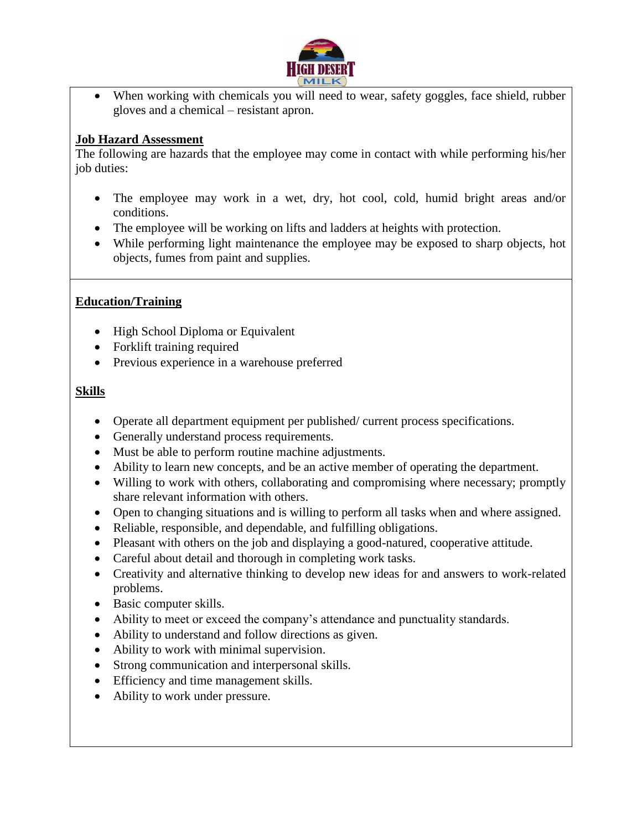

• When working with chemicals you will need to wear, safety goggles, face shield, rubber gloves and a chemical – resistant apron.

#### **Job Hazard Assessment**

The following are hazards that the employee may come in contact with while performing his/her job duties:

- The employee may work in a wet, dry, hot cool, cold, humid bright areas and/or conditions.
- The employee will be working on lifts and ladders at heights with protection.
- While performing light maintenance the employee may be exposed to sharp objects, hot objects, fumes from paint and supplies.

#### **Education/Training**

- High School Diploma or Equivalent
- Forklift training required
- Previous experience in a warehouse preferred

#### **Skills**

- Operate all department equipment per published/ current process specifications.
- Generally understand process requirements.
- Must be able to perform routine machine adjustments.
- Ability to learn new concepts, and be an active member of operating the department.
- Willing to work with others, collaborating and compromising where necessary; promptly share relevant information with others.
- Open to changing situations and is willing to perform all tasks when and where assigned.
- Reliable, responsible, and dependable, and fulfilling obligations.
- Pleasant with others on the job and displaying a good-natured, cooperative attitude.
- Careful about detail and thorough in completing work tasks.
- Creativity and alternative thinking to develop new ideas for and answers to work-related problems.
- Basic computer skills.
- Ability to meet or exceed the company's attendance and punctuality standards.
- Ability to understand and follow directions as given.
- Ability to work with minimal supervision.
- Strong communication and interpersonal skills.
- Efficiency and time management skills.
- Ability to work under pressure.